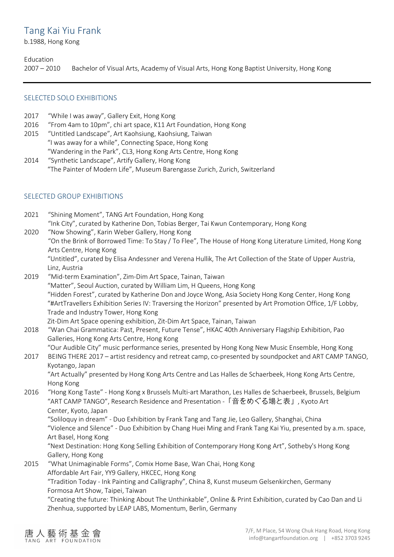# Tang Kai Yiu Frank

b.1988, Hong Kong

# Education

2007 – 2010 Bachelor of Visual Arts, Academy of Visual Arts, Hong Kong Baptist University, Hong Kong

# SELECTED SOLO EXHIBITIONS

- 2017 "While I was away", Gallery Exit, Hong Kong
- 2016 "From 4am to 10pm", chi art space, K11 Art Foundation, Hong Kong
- 2015 "Untitled Landscape", Art Kaohsiung, Kaohsiung, Taiwan "I was away for a while", Connecting Space, Hong Kong "Wandering in the Park", CL3, Hong Kong Arts Centre, Hong Kong
- 2014 "Synthetic Landscape", Artify Gallery, Hong Kong "The Painter of Modern Life", Museum Barengasse Zurich, Zurich, Switzerland

# SELECTED GROUP EXHIBITIONS

2021 "Shining Moment", TANG Art Foundation, Hong Kong "Ink City", curated by Katherine Don, Tobias Berger, Tai Kwun Contemporary, Hong Kong 2020 "Now Showing", Karin Weber Gallery, Hong Kong "On the Brink of Borrowed Time: To Stay / To Flee", The House of Hong Kong Literature Limited, Hong Kong Arts Centre, Hong Kong "Untitled", curated by Elisa Andessner and Verena Hullik, The Art Collection of the State of Upper Austria, Linz, Austria 2019 "Mid-term Examination", Zim-Dim Art Space, Tainan, Taiwan "Matter", Seoul Auction, curated by William Lim, H Queens, Hong Kong "Hidden Forest", curated by Katherine Don and Joyce Wong, Asia Society Hong Kong Center, Hong Kong "#ArtTravellers Exhibition Series IV: Traversing the Horizon" presented by Art Promotion Office, 1/F Lobby, Trade and Industry Tower, Hong Kong Zit-Dim Art Space opening exhibition, Zit-Dim Art Space, Tainan, Taiwan 2018 "Wan Chai Grammatica: Past, Present, Future Tense", HKAC 40th Anniversary Flagship Exhibition, Pao Galleries, Hong Kong Arts Centre, Hong Kong "Our Audible City" music performance series, presented by Hong Kong New Music Ensemble, Hong Kong 2017 BEING THERE 2017 – artist residency and retreat camp, co-presented by soundpocket and ART CAMP TANGO, Kyotango, Japan "Art Actually" presented by Hong Kong Arts Centre and Las Halles de Schaerbeek, Hong Kong Arts Centre, Hong Kong 2016 "Hong Kong Taste" - Hong Kong x Brussels Multi-art Marathon, Les Halles de Schaerbeek, Brussels, Belgium "ART CAMP TANGO", Research Residence and Presentation -「音をめぐる場と表」, Kyoto Art Center, Kyoto, Japan "Soliloquy in dream" - Duo Exhibition by Frank Tang and Tang Jie, Leo Gallery, Shanghai, China "Violence and Silence" - Duo Exhibition by Chang Huei Ming and Frank Tang Kai Yiu, presented by a.m. space, Art Basel, Hong Kong "Next Destination: Hong Kong Selling Exhibition of Contemporary Hong Kong Art", Sotheby's Hong Kong Gallery, Hong Kong 2015 "What Unimaginable Forms", Comix Home Base, Wan Chai, Hong Kong Affordable Art Fair, YY9 Gallery, HKCEC, Hong Kong "Tradition Today - Ink Painting and Calligraphy", China 8, Kunst museum Gelsenkirchen, Germany Formosa Art Show, Taipei, Taiwan "Creating the future: Thinking About The Unthinkable", Online & Print Exhibition, curated by Cao Dan and Li Zhenhua, supported by LEAP LABS, Momentum, Berlin, Germany

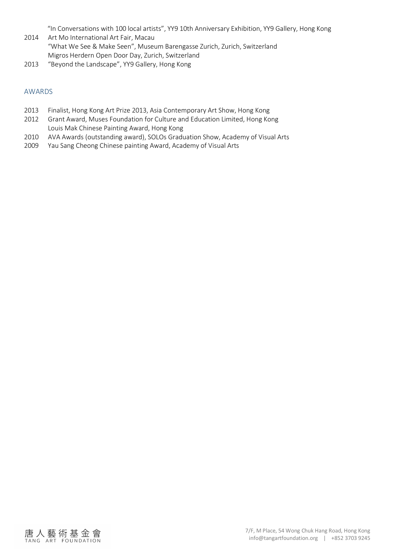"In Conversations with 100 local artists", YY9 10th Anniversary Exhibition, YY9 Gallery, Hong Kong

- 2014 Art Mo International Art Fair, Macau "What We See & Make Seen", Museum Barengasse Zurich, Zurich, Switzerland Migros Herdern Open Door Day, Zurich, Switzerland
- 2013 "Beyond the Landscape", YY9 Gallery, Hong Kong

#### AWARDS

- 2013 Finalist, Hong Kong Art Prize 2013, Asia Contemporary Art Show, Hong Kong
- 2012 Grant Award, Muses Foundation for Culture and Education Limited, Hong Kong Louis Mak Chinese Painting Award, Hong Kong
- 2010 AVA Awards (outstanding award), SOLOs Graduation Show, Academy of Visual Arts
- 2009 Yau Sang Cheong Chinese painting Award, Academy of Visual Arts

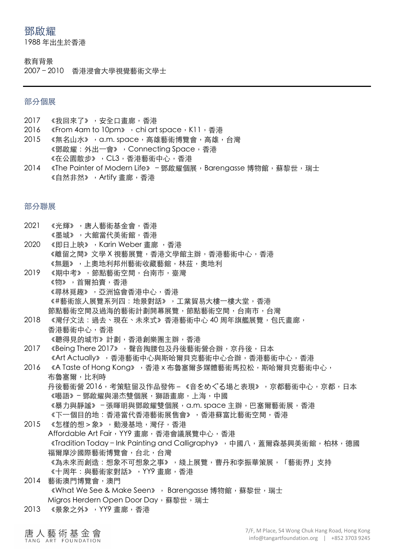# 鄧啟耀

1988 年出⽣於⾹港

#### 教育背景

2007-2010 香港浸會大學視覺藝術文學士

# 部分個展

- 2017 《我回來了》, 安全口書廊, 香港
- 2016 《From 4am to 10pm》, chi art space, K11, 香港
- 2015 《無名山水》, a.m. space, 高雄藝術博覽會, 高雄, 台灣 《鄧啟耀: 外出一會》, Connecting Space, 香港 《在公園散步》,CL3,香港藝術中心,香港
- 2014 《The Painter of Modern Life》 鄧啟耀個展, Barengasse 博物館,蘇黎世,瑞士 《自然非然》, Artify 書廊, 香港

部分聯展

- 2021 《光輝》,唐人藝術基金會,香港
- 《墨城》,大館當代美術館,香港
- 2020 《即日上映》, Karin Weber 書廊, 香港 《離留之間》文學 X 視藝展覽,香港文學館主辦,香港藝術中心,香港 《無題》,上奧地利邦州藝術收藏藝館,林茲,奧地利
- 2019 《期中考》,節點藝術空間,台南市,臺灣 《物》,首爾拍賣,香港 《尋林覓趣》,亞洲協會香港中心,香港 《#藝術旅人展覽系列四:地景對話》,工業貿易大樓一樓大堂,香港 節點藝術空間及過海的藝術計劃開幕展覽,節點藝術空間,台南市,台灣
- 2018 《灣仔文法:過去、現在、未來式》香港藝術中心 40 周年旗艦展覽,包氏畫廊, 香港藝術中心, 香港 《聽得見的城市》計劃,香港創樂團主辦,香港
- 2017 《Being There 2017》, 聲音掏腰包及丹後藝術營合辦, 京丹後, 日本 《Art Actually》,香港藝術中心與斯哈爾貝克藝術中心合辦,香港藝術中心,香港
- 2016 《A Taste of Hong Kong》,香港 x 布魯塞爾多媒體藝術馬拉松,斯哈爾貝克藝術中心, 布魯塞爾,比利時 丹後藝術營 2016,考策駐留及作品發佈 - 《音をめぐる場と表現》,京都藝術中心,京都,日本 《囈語》–鄧啟耀與湯杰雙個展,獅語畫廊,上海,中國 《暴力與靜謐》‐張暉明與鄧啟耀雙個展,a.m. space 主辦,巴塞爾藝術展,香港 《下一個目的地:香港當代香港藝術展售會》,香港蘇富比藝術空間,香港
- 2015 《怎樣的想 > 象》, 動漫基地, 灣仔, 香港
- Affordable Art Fair, YY9 畫廊,香港會議展覽中心,香港 《Tradition Today - Ink Painting and Calligraphy》, 中國八, 蓋爾森基興美術館,柏林,德國 福爾摩沙國際藝術博覽會,台北,台灣 《為未來而創造:想象不可想象之事》,綫上展覽,曹丹和李振華策展,「藝術界」支持 《十周年:與藝術家對話》, YY9 畫廊, 香港
- 2014 藝術澳門博覽會,澳門 《What We See & Make Seen》, Barengasse 博物館,蘇黎世,瑞士 Migros Herdern Open Door Day, 蘇黎世,瑞士
- 2013 《景象之外》, YY9 畫廊, 香港
- 唐人藝術基金會 TANG ART FOUNDATION